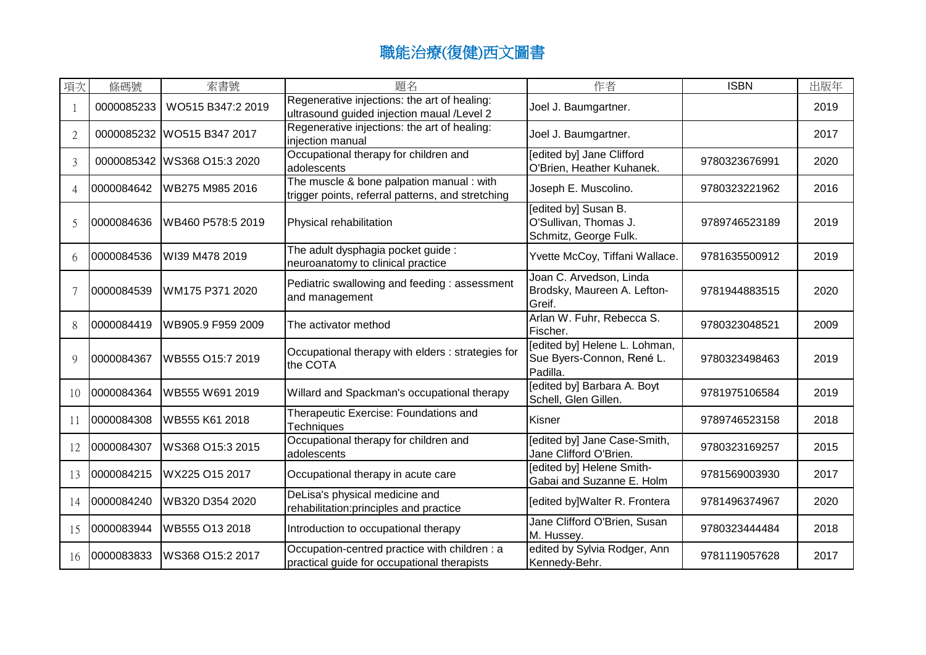| 項次             | 條碼號        | 索書號                         | 題名                                                                                             | 作者                                                                     | <b>ISBN</b>   | 出版年  |
|----------------|------------|-----------------------------|------------------------------------------------------------------------------------------------|------------------------------------------------------------------------|---------------|------|
| $\mathbf{1}$   | 0000085233 | WO515 B347:2 2019           | Regenerative injections: the art of healing:<br>ultrasound guided injection maual /Level 2     | Joel J. Baumgartner.                                                   |               | 2019 |
| $\overline{2}$ |            | 0000085232 WO515 B347 2017  | Regenerative injections: the art of healing:<br>injection manual                               | Joel J. Baumgartner.                                                   |               | 2017 |
| 3              |            | 0000085342 WS368 O15:3 2020 | Occupational therapy for children and<br>adolescents                                           | [edited by] Jane Clifford<br>O'Brien, Heather Kuhanek.                 | 9780323676991 | 2020 |
| $\overline{A}$ | 0000084642 | WB275 M985 2016             | The muscle & bone palpation manual : with<br>trigger points, referral patterns, and stretching | Joseph E. Muscolino.                                                   | 9780323221962 | 2016 |
| $\overline{5}$ | 0000084636 | WB460 P578:5 2019           | Physical rehabilitation                                                                        | [edited by] Susan B.<br>O'Sullivan, Thomas J.<br>Schmitz, George Fulk. | 9789746523189 | 2019 |
| 6              | 0000084536 | WI39 M478 2019              | The adult dysphagia pocket guide :<br>neuroanatomy to clinical practice                        | Yvette McCoy, Tiffani Wallace.                                         | 9781635500912 | 2019 |
|                | 0000084539 | WM175 P371 2020             | Pediatric swallowing and feeding: assessment<br>and management                                 | Joan C. Arvedson, Linda<br>Brodsky, Maureen A. Lefton-<br>Greif.       | 9781944883515 | 2020 |
| 8              | 0000084419 | WB905.9 F959 2009           | The activator method                                                                           | Arlan W. Fuhr, Rebecca S.<br>Fischer.                                  | 9780323048521 | 2009 |
| 9              | 0000084367 | WB555 O15:7 2019            | Occupational therapy with elders : strategies for<br>the COTA                                  | [edited by] Helene L. Lohman,<br>Sue Byers-Connon, René L.<br>Padilla. | 9780323498463 | 2019 |
| 10             | 0000084364 | WB555 W691 2019             | Willard and Spackman's occupational therapy                                                    | [edited by] Barbara A. Boyt<br>Schell, Glen Gillen.                    | 9781975106584 | 2019 |
| 11             | 0000084308 | WB555 K61 2018              | Therapeutic Exercise: Foundations and<br>Techniques                                            | Kisner                                                                 | 9789746523158 | 2018 |
| 12             | 0000084307 | WS368 O15:3 2015            | Occupational therapy for children and<br>adolescents                                           | [edited by] Jane Case-Smith,<br>Jane Clifford O'Brien.                 | 9780323169257 | 2015 |
| 13             | 0000084215 | WX225 O15 2017              | Occupational therapy in acute care                                                             | [edited by] Helene Smith-<br>Gabai and Suzanne E. Holm                 | 9781569003930 | 2017 |
| 14             | 0000084240 | WB320 D354 2020             | DeLisa's physical medicine and<br>rehabilitation:principles and practice                       | [edited by]Walter R. Frontera                                          | 9781496374967 | 2020 |
| 15             | 0000083944 | WB555 O13 2018              | Introduction to occupational therapy                                                           | Jane Clifford O'Brien, Susan<br>M. Hussey.                             | 9780323444484 | 2018 |
| 16             | 0000083833 | WS368 O15:2 2017            | Occupation-centred practice with children : a<br>practical guide for occupational therapists   | edited by Sylvia Rodger, Ann<br>Kennedy-Behr.                          | 9781119057628 | 2017 |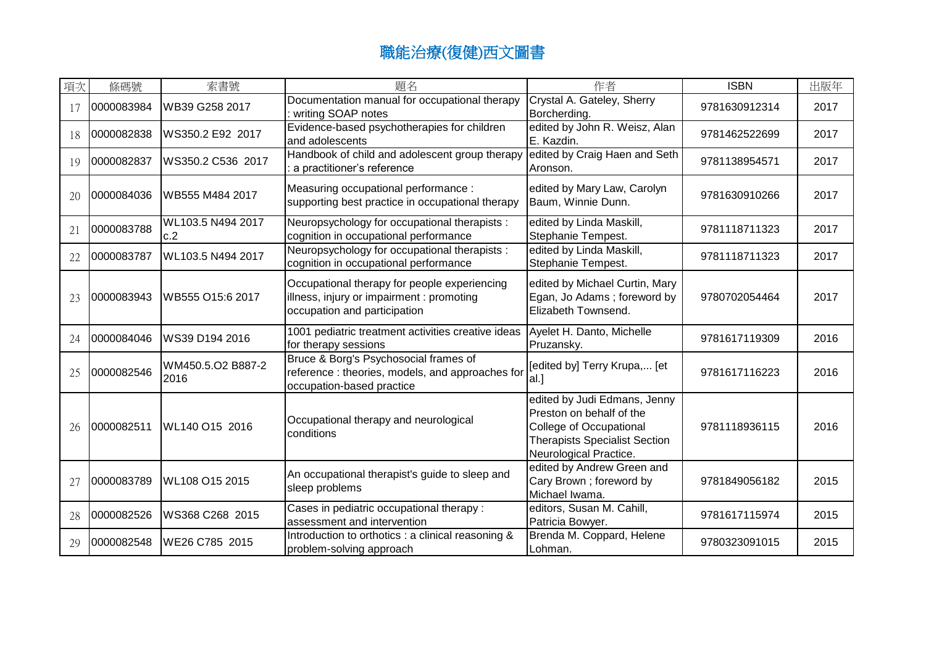| 項次 | 條碼號        | 索書號                       | 題名                                                                                                                        | 作者                                                                                                                                                           | <b>ISBN</b>   | 出版年  |
|----|------------|---------------------------|---------------------------------------------------------------------------------------------------------------------------|--------------------------------------------------------------------------------------------------------------------------------------------------------------|---------------|------|
| 17 | 0000083984 | WB39 G258 2017            | Documentation manual for occupational therapy<br>writing SOAP notes                                                       | Crystal A. Gateley, Sherry<br>Borcherding.                                                                                                                   | 9781630912314 | 2017 |
| 18 | 0000082838 | WS350.2 E92 2017          | Evidence-based psychotherapies for children<br>and adolescents                                                            | edited by John R. Weisz, Alan<br>E. Kazdin.                                                                                                                  | 9781462522699 | 2017 |
| 19 | 0000082837 | WS350.2 C536 2017         | Handbook of child and adolescent group therapy<br>a practitioner's reference                                              | edited by Craig Haen and Seth<br>Aronson.                                                                                                                    | 9781138954571 | 2017 |
| 20 | 0000084036 | WB555 M484 2017           | Measuring occupational performance :<br>supporting best practice in occupational therapy                                  | edited by Mary Law, Carolyn<br>Baum, Winnie Dunn.                                                                                                            | 9781630910266 | 2017 |
| 21 | 0000083788 | WL103.5 N494 2017<br>c.2  | Neuropsychology for occupational therapists :<br>cognition in occupational performance                                    | edited by Linda Maskill,<br>Stephanie Tempest.                                                                                                               | 9781118711323 | 2017 |
| 22 | 0000083787 | WL103.5 N494 2017         | Neuropsychology for occupational therapists :<br>cognition in occupational performance                                    | edited by Linda Maskill,<br>Stephanie Tempest.                                                                                                               | 9781118711323 | 2017 |
| 23 | 0000083943 | WB555 O15:6 2017          | Occupational therapy for people experiencing<br>illness, injury or impairment : promoting<br>occupation and participation | edited by Michael Curtin, Mary<br>Egan, Jo Adams; foreword by<br>Elizabeth Townsend.                                                                         | 9780702054464 | 2017 |
| 24 | 0000084046 | WS39 D194 2016            | 1001 pediatric treatment activities creative ideas<br>for therapy sessions                                                | Ayelet H. Danto, Michelle<br>Pruzansky.                                                                                                                      | 9781617119309 | 2016 |
| 25 | 0000082546 | WM450.5.O2 B887-2<br>2016 | Bruce & Borg's Psychosocial frames of<br>reference: theories, models, and approaches for<br>occupation-based practice     | [edited by] Terry Krupa, [et<br> al.                                                                                                                         | 9781617116223 | 2016 |
| 26 | 0000082511 | WL140 O15 2016            | Occupational therapy and neurological<br>conditions                                                                       | edited by Judi Edmans, Jenny<br>Preston on behalf of the<br><b>College of Occupational</b><br><b>Therapists Specialist Section</b><br>Neurological Practice. | 9781118936115 | 2016 |
| 27 | 0000083789 | WL108 O15 2015            | An occupational therapist's guide to sleep and<br>sleep problems                                                          | edited by Andrew Green and<br>Cary Brown; foreword by<br>Michael Iwama.                                                                                      | 9781849056182 | 2015 |
| 28 | 0000082526 | WS368 C268 2015           | Cases in pediatric occupational therapy:<br>assessment and intervention                                                   | editors, Susan M. Cahill,<br>Patricia Bowyer.                                                                                                                | 9781617115974 | 2015 |
| 29 | 0000082548 | WE26 C785 2015            | Introduction to orthotics : a clinical reasoning &<br>problem-solving approach                                            | Brenda M. Coppard, Helene<br>Lohman.                                                                                                                         | 9780323091015 | 2015 |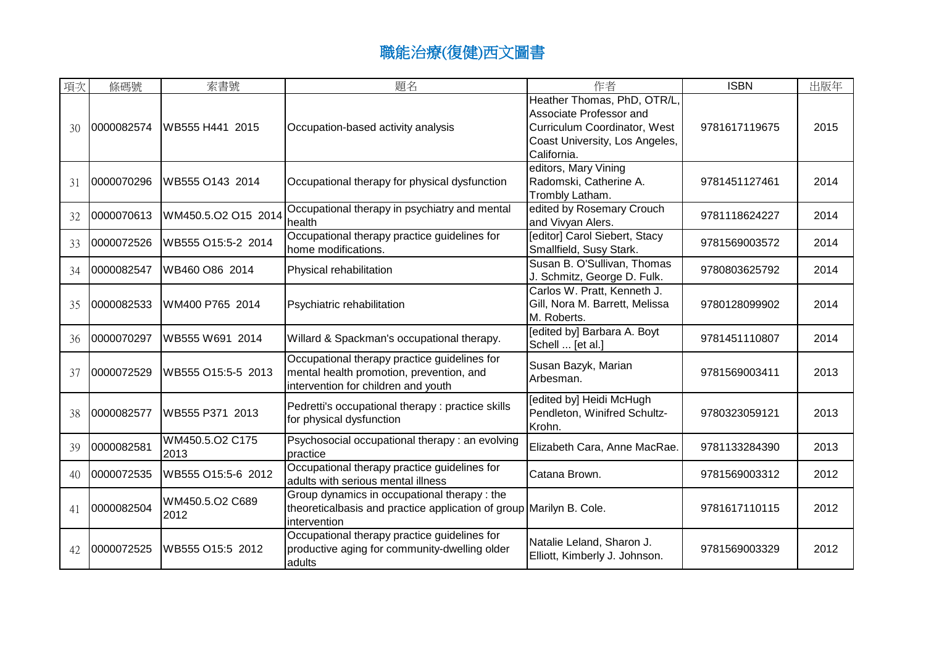| 項次 | 條碼號        | 索書號                     | 題名                                                                                                                                 | 作者                                                                                                                                      | <b>ISBN</b>   | 出版年  |
|----|------------|-------------------------|------------------------------------------------------------------------------------------------------------------------------------|-----------------------------------------------------------------------------------------------------------------------------------------|---------------|------|
| 30 | 0000082574 | IWB555 H441 2015        | Occupation-based activity analysis                                                                                                 | Heather Thomas, PhD, OTR/L,<br>Associate Professor and<br>Curriculum Coordinator, West<br>Coast University, Los Angeles,<br>California. | 9781617119675 | 2015 |
| 31 | 0000070296 | WB555 O143 2014         | Occupational therapy for physical dysfunction                                                                                      | editors, Mary Vining<br>Radomski, Catherine A.<br>Trombly Latham.                                                                       | 9781451127461 | 2014 |
| 32 | 0000070613 | WM450.5.O2 O15 2014     | Occupational therapy in psychiatry and mental<br>health                                                                            | edited by Rosemary Crouch<br>and Vivyan Alers.                                                                                          | 9781118624227 | 2014 |
| 33 | 0000072526 | WB555 O15:5-2 2014      | Occupational therapy practice guidelines for<br>home modifications.                                                                | <b>Feditor] Carol Siebert, Stacy</b><br>Smallfield, Susy Stark.                                                                         | 9781569003572 | 2014 |
| 34 | 0000082547 | WB460 O86 2014          | Physical rehabilitation                                                                                                            | Susan B. O'Sullivan, Thomas<br>J. Schmitz, George D. Fulk.                                                                              | 9780803625792 | 2014 |
| 35 | 0000082533 | WM400 P765 2014         | Psychiatric rehabilitation                                                                                                         | Carlos W. Pratt, Kenneth J.<br>Gill, Nora M. Barrett, Melissa<br>M. Roberts.                                                            | 9780128099902 | 2014 |
| 36 | 0000070297 | WB555 W691 2014         | Willard & Spackman's occupational therapy.                                                                                         | [edited by] Barbara A. Boyt<br>Schell  [et al.]                                                                                         | 9781451110807 | 2014 |
| 37 | 0000072529 | WB555 O15:5-5 2013      | Occupational therapy practice guidelines for<br>mental health promotion, prevention, and<br>intervention for children and youth    | Susan Bazyk, Marian<br>Arbesman.                                                                                                        | 9781569003411 | 2013 |
| 38 | 0000082577 | WB555 P371 2013         | Pedretti's occupational therapy : practice skills<br>for physical dysfunction                                                      | [edited by] Heidi McHugh<br>Pendleton, Winifred Schultz-<br>Krohn.                                                                      | 9780323059121 | 2013 |
| 39 | 0000082581 | WM450.5.O2 C175<br>2013 | Psychosocial occupational therapy: an evolving<br>practice                                                                         | Elizabeth Cara, Anne MacRae.                                                                                                            | 9781133284390 | 2013 |
| 40 | 0000072535 | WB555 O15:5-6 2012      | Occupational therapy practice guidelines for<br>adults with serious mental illness                                                 | Catana Brown.                                                                                                                           | 9781569003312 | 2012 |
| 41 | 0000082504 | WM450.5.O2 C689<br>2012 | Group dynamics in occupational therapy: the<br>theoreticalbasis and practice application of group Marilyn B. Cole.<br>intervention |                                                                                                                                         | 9781617110115 | 2012 |
| 42 | 0000072525 | WB555 O15:5 2012        | Occupational therapy practice guidelines for<br>productive aging for community-dwelling older<br>adults                            | Natalie Leland, Sharon J.<br>Elliott, Kimberly J. Johnson.                                                                              | 9781569003329 | 2012 |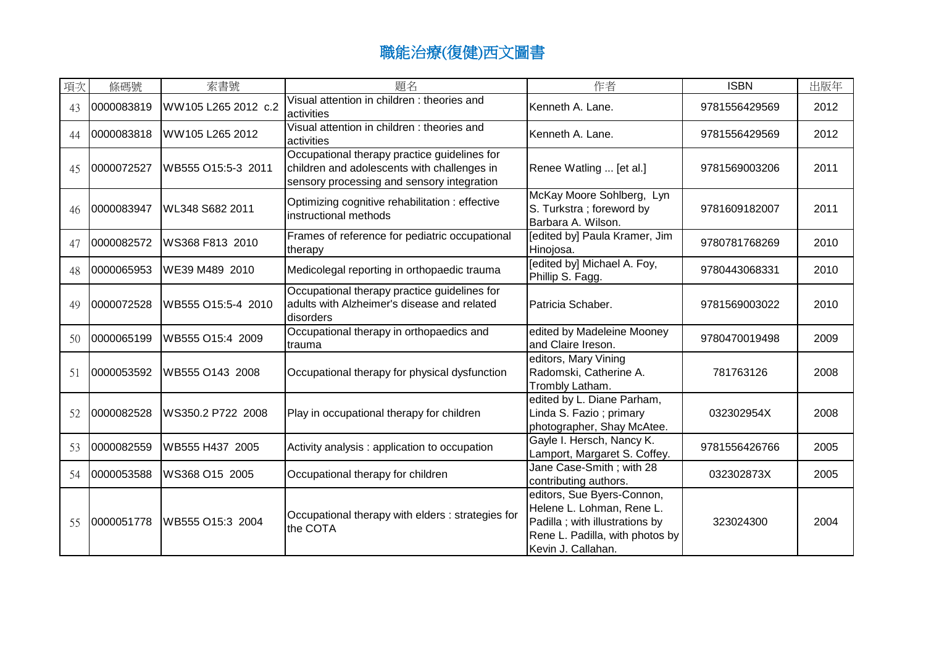| 項次 | 條碼號        | 索書號                 | 題名                                                                                                                                        | 作者                                                                                                                                                  | <b>ISBN</b>   | 出版年  |
|----|------------|---------------------|-------------------------------------------------------------------------------------------------------------------------------------------|-----------------------------------------------------------------------------------------------------------------------------------------------------|---------------|------|
| 43 | 0000083819 | WW105 L265 2012 c.2 | Visual attention in children : theories and<br>activities                                                                                 | Kenneth A. Lane.                                                                                                                                    | 9781556429569 | 2012 |
| 44 | 0000083818 | WW105 L265 2012     | Visual attention in children: theories and<br>activities                                                                                  | Kenneth A. Lane.                                                                                                                                    | 9781556429569 | 2012 |
| 45 | 0000072527 | WB555 O15:5-3 2011  | Occupational therapy practice guidelines for<br>children and adolescents with challenges in<br>sensory processing and sensory integration | Renee Watling  [et al.]                                                                                                                             | 9781569003206 | 2011 |
| 46 | 0000083947 | WL348 S682 2011     | Optimizing cognitive rehabilitation : effective<br>instructional methods                                                                  | McKay Moore Sohlberg, Lyn<br>S. Turkstra; foreword by<br>Barbara A. Wilson.                                                                         | 9781609182007 | 2011 |
| 47 | 0000082572 | WS368 F813 2010     | Frames of reference for pediatric occupational<br>therapy                                                                                 | [edited by] Paula Kramer, Jim<br>Hinojosa.                                                                                                          | 9780781768269 | 2010 |
| 48 | 0000065953 | WE39 M489 2010      | Medicolegal reporting in orthopaedic trauma                                                                                               | [edited by] Michael A. Foy,<br>Phillip S. Fagg.                                                                                                     | 9780443068331 | 2010 |
| 49 | 0000072528 | WB555 O15:5-4 2010  | Occupational therapy practice guidelines for<br>adults with Alzheimer's disease and related<br>disorders                                  | Patricia Schaber.                                                                                                                                   | 9781569003022 | 2010 |
| 50 | 0000065199 | WB555 O15:4 2009    | Occupational therapy in orthopaedics and<br>trauma                                                                                        | edited by Madeleine Mooney<br>and Claire Ireson.                                                                                                    | 9780470019498 | 2009 |
| 51 | 0000053592 | WB555 O143 2008     | Occupational therapy for physical dysfunction                                                                                             | editors, Mary Vining<br>Radomski, Catherine A.<br>Trombly Latham.                                                                                   | 781763126     | 2008 |
| 52 | 0000082528 | WS350.2 P722 2008   | Play in occupational therapy for children                                                                                                 | edited by L. Diane Parham,<br>Linda S. Fazio; primary<br>photographer, Shay McAtee.                                                                 | 032302954X    | 2008 |
| 53 | 0000082559 | WB555 H437 2005     | Activity analysis : application to occupation                                                                                             | Gayle I. Hersch, Nancy K.<br>Lamport, Margaret S. Coffey.                                                                                           | 9781556426766 | 2005 |
| 54 | 0000053588 | WS368 O15 2005      | Occupational therapy for children                                                                                                         | Jane Case-Smith; with 28<br>contributing authors.                                                                                                   | 032302873X    | 2005 |
| 55 | 0000051778 | WB555 O15:3 2004    | Occupational therapy with elders : strategies for<br>the COTA                                                                             | editors, Sue Byers-Connon,<br>Helene L. Lohman, Rene L.<br>Padilla ; with illustrations by<br>Rene L. Padilla, with photos by<br>Kevin J. Callahan. | 323024300     | 2004 |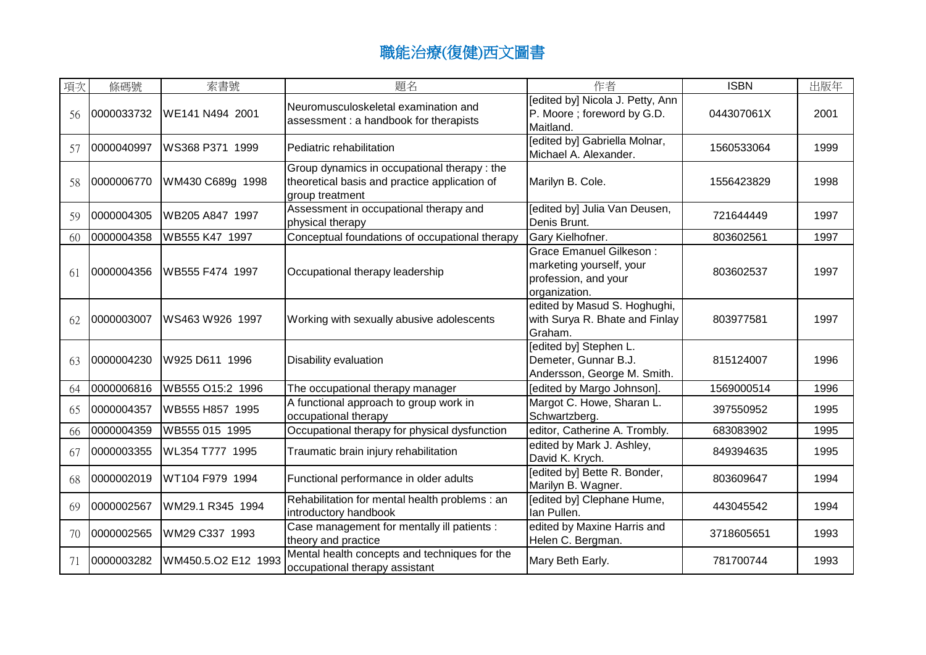| 項次 | 條碼號        | 索書號                 | 題名                                                                                                               | 作者                                                                                                  | <b>ISBN</b> | 出版年  |
|----|------------|---------------------|------------------------------------------------------------------------------------------------------------------|-----------------------------------------------------------------------------------------------------|-------------|------|
| 56 | 0000033732 | WE141 N494 2001     | Neuromusculoskeletal examination and<br>assessment : a handbook for therapists                                   | [edited by] Nicola J. Petty, Ann<br>P. Moore; foreword by G.D.<br>Maitland.                         | 044307061X  | 2001 |
| 57 | 0000040997 | WS368 P371 1999     | Pediatric rehabilitation                                                                                         | [edited by] Gabriella Molnar,<br>Michael A. Alexander.                                              | 1560533064  | 1999 |
| 58 | 0000006770 | WM430 C689g 1998    | Group dynamics in occupational therapy : the<br>theoretical basis and practice application of<br>group treatment | Marilyn B. Cole.                                                                                    | 1556423829  | 1998 |
| 59 | 0000004305 | WB205 A847 1997     | Assessment in occupational therapy and<br>physical therapy                                                       | [edited by] Julia Van Deusen,<br>Denis Brunt.                                                       | 721644449   | 1997 |
| 60 | 0000004358 | WB555 K47 1997      | Conceptual foundations of occupational therapy                                                                   | Gary Kielhofner.                                                                                    | 803602561   | 1997 |
| 61 | 0000004356 | WB555 F474 1997     | Occupational therapy leadership                                                                                  | <b>Grace Emanuel Gilkeson:</b><br>marketing yourself, your<br>profession, and your<br>organization. | 803602537   | 1997 |
| 62 | 0000003007 | WS463 W926 1997     | Working with sexually abusive adolescents                                                                        | edited by Masud S. Hoghughi,<br>with Surya R. Bhate and Finlay<br>Graham.                           | 803977581   | 1997 |
| 63 | 0000004230 | W925 D611 1996      | Disability evaluation                                                                                            | [edited by] Stephen L.<br>Demeter, Gunnar B.J.<br>Andersson, George M. Smith.                       | 815124007   | 1996 |
| 64 | 0000006816 | WB555 O15:2 1996    | The occupational therapy manager                                                                                 | [edited by Margo Johnson].                                                                          | 1569000514  | 1996 |
| 65 | 0000004357 | WB555 H857 1995     | A functional approach to group work in<br>occupational therapy                                                   | Margot C. Howe, Sharan L.<br>Schwartzberg.                                                          | 397550952   | 1995 |
| 66 | 0000004359 | WB555 015 1995      | Occupational therapy for physical dysfunction                                                                    | editor, Catherine A. Trombly.                                                                       | 683083902   | 1995 |
| 67 | 0000003355 | WL354 T777 1995     | Traumatic brain injury rehabilitation                                                                            | edited by Mark J. Ashley,<br>David K. Krych.                                                        | 849394635   | 1995 |
| 68 | 0000002019 | WT104 F979 1994     | Functional performance in older adults                                                                           | [edited by] Bette R. Bonder,<br>Marilyn B. Wagner.                                                  | 803609647   | 1994 |
| 69 | 0000002567 | WM29.1 R345 1994    | Rehabilitation for mental health problems : an<br>introductory handbook                                          | [edited by] Clephane Hume,<br>lan Pullen.                                                           | 443045542   | 1994 |
| 70 | 0000002565 | WM29 C337 1993      | Case management for mentally ill patients :<br>theory and practice                                               | edited by Maxine Harris and<br>Helen C. Bergman.                                                    | 3718605651  | 1993 |
| 71 | 0000003282 | WM450.5.O2 E12 1993 | Mental health concepts and techniques for the<br>occupational therapy assistant                                  | Mary Beth Early.                                                                                    | 781700744   | 1993 |